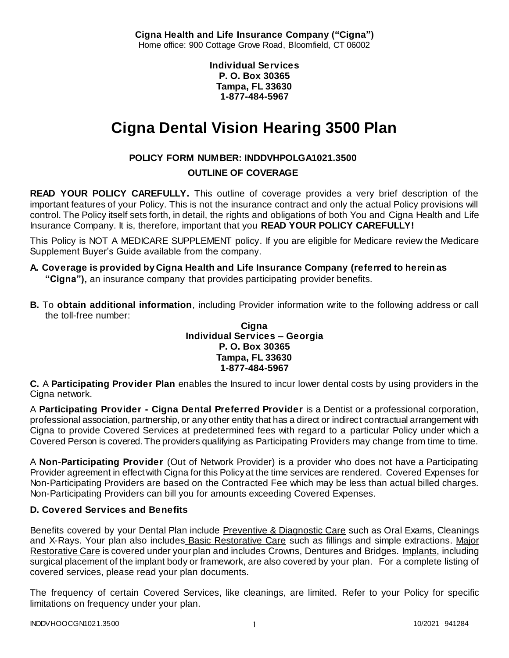**Cigna Health and Life Insurance Company ("Cigna")** Home office: 900 Cottage Grove Road, Bloomfield, CT 06002

> **Individual Services P. O. Box 30365 Tampa, FL 33630 1-877-484-5967**

# **Cigna Dental Vision Hearing 3500 Plan**

# **POLICY FORM NUMBER: INDDVHPOLGA1021.3500**

## **OUTLINE OF COVERAGE**

**READ YOUR POLICY CAREFULLY.** This outline of coverage provides a very brief description of the important features of your Policy. This is not the insurance contract and only the actual Policy provisions will control. The Policy itself sets forth, in detail, the rights and obligations of both You and Cigna Health and Life Insurance Company. It is, therefore, important that you **READ YOUR POLICY CAREFULLY!** 

This Policy is NOT A MEDICARE SUPPLEMENT policy. If you are eligible for Medicare review the Medicare Supplement Buyer's Guide available from the company.

# **A. Coverage is provided by Cigna Health and Life Insurance Company (referred to herein as "Cigna"),** an insurance company that provides participating provider benefits.

**B.** To **obtain additional information**, including Provider information write to the following address or call the toll-free number:

#### **Cigna Individual Services – Georgia P. O. Box 30365 Tampa, FL 33630 1-877-484-5967**

**C.** A **Participating Provider Plan** enables the Insured to incur lower dental costs by using providers in the Cigna network.

A **Participating Provider - Cigna Dental Preferred Provider** is a Dentist or a professional corporation, professional association, partnership, or any other entity that has a direct or indirect contractual arrangement with Cigna to provide Covered Services at predetermined fees with regard to a particular Policy under which a Covered Person is covered. The providers qualifying as Participating Providers may change from time to time.

A **Non-Participating Provider** (Out of Network Provider) is a provider who does not have a Participating Provider agreement in effect with Cigna for this Policy at the time services are rendered. Covered Expenses for Non-Participating Providers are based on the Contracted Fee which may be less than actual billed charges. Non-Participating Providers can bill you for amounts exceeding Covered Expenses.

## **D. Covered Services and Benefits**

Benefits covered by your Dental Plan include Preventive & Diagnostic Care such as Oral Exams, Cleanings and X-Rays. Your plan also includes Basic Restorative Care such as fillings and simple extractions. Major Restorative Care is covered under your plan and includes Crowns, Dentures and Bridges. Implants, including surgical placement of the implant body or framework, are also covered by your plan. For a complete listing of covered services, please read your plan documents.

The frequency of certain Covered Services, like cleanings, are limited. Refer to your Policy for specific limitations on frequency under your plan.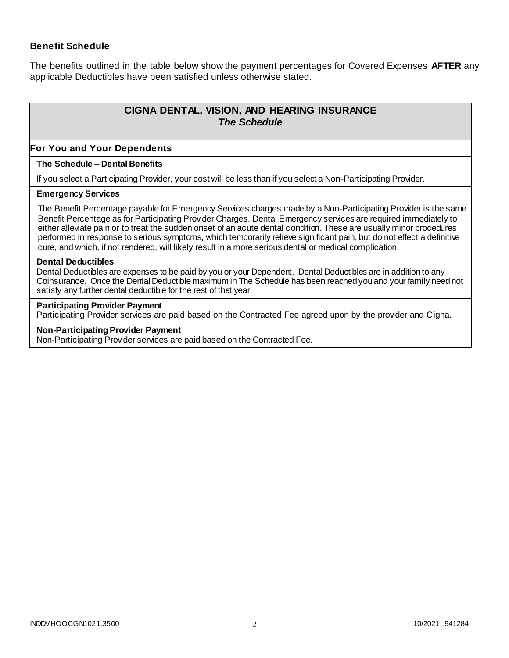## **Benefit Schedule**

The benefits outlined in the table below show the payment percentages for Covered Expenses **AFTER** any applicable Deductibles have been satisfied unless otherwise stated.

# **CIGNA DENTAL, VISION, AND HEARING INSURANCE** *The Schedule*

### **For You and Your Dependents**

#### **The Schedule – Dental Benefits**

If you select a Participating Provider, your cost will be less than if you select a Non-Participating Provider.

#### **Emergency Services**

The Benefit Percentage payable for Emergency Services charges made by a Non-Participating Provider is the same Benefit Percentage as for Participating Provider Charges. Dental Emergency services are required immediately to either alleviate pain or to treat the sudden onset of an acute dental condition. These are usually minor procedures performed in response to serious symptoms, which temporarily relieve significant pain, but do not effect a definitive cure, and which, if not rendered, will likely result in a more serious dental or medical complication.

#### **Dental Deductibles**

Dental Deductibles are expenses to be paid by you or your Dependent. Dental Deductibles are in addition to any Coinsurance. Once the Dental Deductible maximum in The Schedule has been reached you and your family need not satisfy any further dental deductible for the rest of that year.

#### **Participating Provider Payment**

Participating Provider services are paid based on the Contracted Fee agreed upon by the provider and Cigna.

## **Non-Participating Provider Payment**

Non-Participating Provider services are paid based on the Contracted Fee.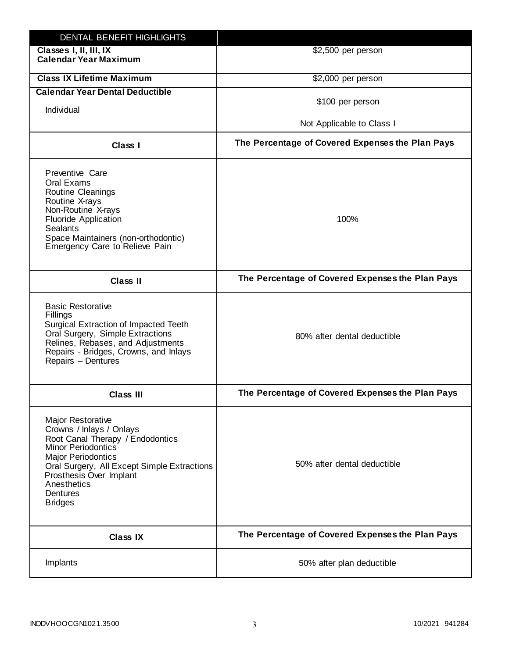| DENTAL BENEFIT HIGHLIGHTS                                                                                                                                                                                                                                                 |                                                  |
|---------------------------------------------------------------------------------------------------------------------------------------------------------------------------------------------------------------------------------------------------------------------------|--------------------------------------------------|
| Classes I, II, III, IX<br><b>Calendar Year Maximum</b>                                                                                                                                                                                                                    | \$2,500 per person                               |
| <b>Class IX Lifetime Maximum</b>                                                                                                                                                                                                                                          | \$2,000 per person                               |
| <b>Calendar Year Dental Deductible</b>                                                                                                                                                                                                                                    |                                                  |
| Individual                                                                                                                                                                                                                                                                | \$100 per person                                 |
|                                                                                                                                                                                                                                                                           | Not Applicable to Class I                        |
| Class I                                                                                                                                                                                                                                                                   | The Percentage of Covered Expenses the Plan Pays |
| Preventive Care<br>Oral Exams<br>Routine Cleanings<br>Routine X-rays<br>Non-Routine X-rays<br><b>Fluoride Application</b><br><b>Sealants</b><br>Space Maintainers (non-orthodontic)<br>Emergency Care to Relieve Pain                                                     | 100%                                             |
| <b>Class II</b>                                                                                                                                                                                                                                                           | The Percentage of Covered Expenses the Plan Pays |
| <b>Basic Restorative</b><br>Fillings<br>Surgical Extraction of Impacted Teeth<br>Oral Surgery, Simple Extractions<br>Relines, Rebases, and Adjustments<br>Repairs - Bridges, Crowns, and Inlays<br>Repairs - Dentures                                                     | 80% after dental deductible                      |
| <b>Class III</b>                                                                                                                                                                                                                                                          | The Percentage of Covered Expenses the Plan Pays |
| <b>Major Restorative</b><br>Crowns / Inlays / Onlays<br>Root Canal Therapy / Endodontics<br><b>Minor Periodontics</b><br><b>Major Periodontics</b><br>Oral Surgery, All Except Simple Extractions<br>Prosthesis Over Implant<br>Anesthetics<br>Dentures<br><b>Bridges</b> | 50% after dental deductible                      |
| <b>Class IX</b>                                                                                                                                                                                                                                                           | The Percentage of Covered Expenses the Plan Pays |
| Implants                                                                                                                                                                                                                                                                  | 50% after plan deductible                        |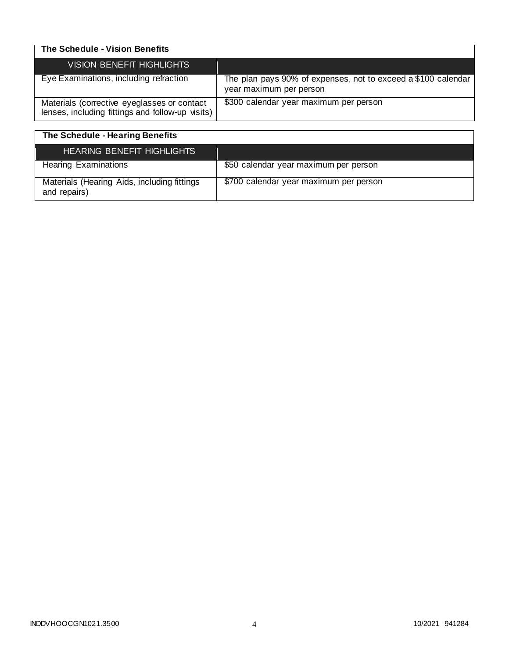| The Schedule - Vision Benefits                                                                  |                                                                                          |
|-------------------------------------------------------------------------------------------------|------------------------------------------------------------------------------------------|
| <b>VISION BENEFIT HIGHLIGHTS</b>                                                                |                                                                                          |
| Eye Examinations, including refraction                                                          | The plan pays 90% of expenses, not to exceed a \$100 calendar<br>year maximum per person |
| Materials (corrective eyeglasses or contact<br>lenses, including fittings and follow-up visits) | \$300 calendar year maximum per person                                                   |

| The Schedule - Hearing Benefits                             |                                        |
|-------------------------------------------------------------|----------------------------------------|
| <b>HEARING BENEFIT HIGHLIGHTS</b>                           |                                        |
| <b>Hearing Examinations</b>                                 | \$50 calendar year maximum per person  |
| Materials (Hearing Aids, including fittings<br>and repairs) | \$700 calendar year maximum per person |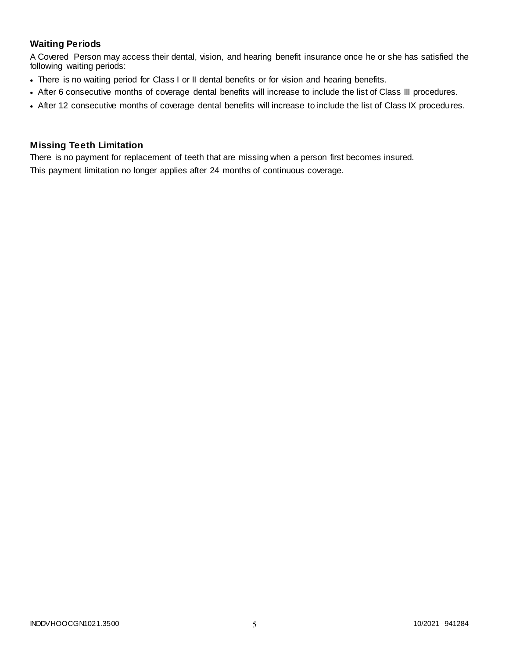## **Waiting Periods**

A Covered Person may access their dental, vision, and hearing benefit insurance once he or she has satisfied the following waiting periods:

- There is no waiting period for Class I or II dental benefits or for vision and hearing benefits.
- After 6 consecutive months of coverage dental benefits will increase to include the list of Class III procedures.
- After 12 consecutive months of coverage dental benefits will increase to include the list of Class IX procedures.

## **Missing Teeth Limitation**

There is no payment for replacement of teeth that are missing when a person first becomes insured.

This payment limitation no longer applies after 24 months of continuous coverage.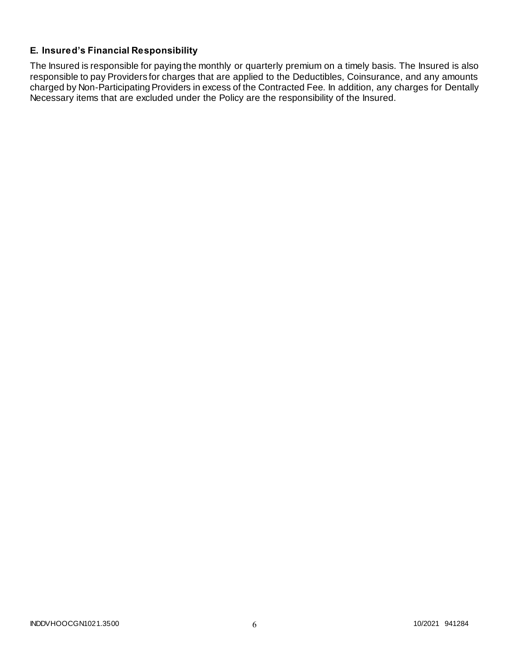# **E. Insured's Financial Responsibility**

The Insured is responsible for paying the monthly or quarterly premium on a timely basis. The Insured is also responsible to pay Providers for charges that are applied to the Deductibles, Coinsurance, and any amounts charged by Non-Participating Providers in excess of the Contracted Fee. In addition, any charges for Dentally Necessary items that are excluded under the Policy are the responsibility of the Insured.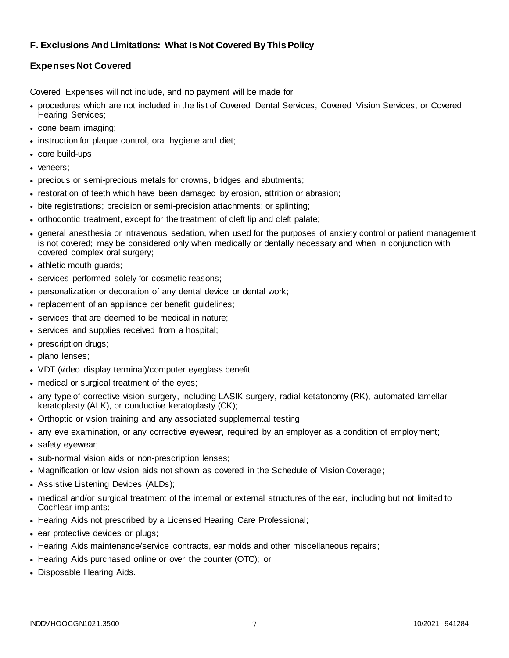## **F. Exclusions And Limitations: What Is Not Covered By This Policy**

## **Expenses Not Covered**

Covered Expenses will not include, and no payment will be made for:

- procedures which are not included in the list of Covered Dental Services, Covered Vision Services, or Covered Hearing Services;
- cone beam imaging;
- instruction for plaque control, oral hygiene and diet;
- core build-ups;
- veneers:
- precious or semi-precious metals for crowns, bridges and abutments;
- restoration of teeth which have been damaged by erosion, attrition or abrasion;
- bite registrations; precision or semi-precision attachments; or splinting;
- orthodontic treatment, except for the treatment of cleft lip and cleft palate;
- general anesthesia or intravenous sedation, when used for the purposes of anxiety control or patient management is not covered; may be considered only when medically or dentally necessary and when in conjunction with covered complex oral surgery;
- athletic mouth guards;
- services performed solely for cosmetic reasons;
- personalization or decoration of any dental device or dental work;
- replacement of an appliance per benefit quidelines;
- services that are deemed to be medical in nature;
- services and supplies received from a hospital;
- prescription drugs;
- plano lenses;
- VDT (video display terminal)/computer eyeglass benefit
- medical or surgical treatment of the eyes;
- any type of corrective vision surgery, including LASIK surgery, radial ketatonomy (RK), automated lamellar keratoplasty (ALK), or conductive keratoplasty (CK);
- Orthoptic or vision training and any associated supplemental testing
- any eye examination, or any corrective eyewear, required by an employer as a condition of employment;
- safety eyewear;
- sub-normal vision aids or non-prescription lenses:
- Magnification or low vision aids not shown as covered in the Schedule of Vision Coverage;
- Assistive Listening Devices (ALDs);
- medical and/or surgical treatment of the internal or external structures of the ear, including but not limited to Cochlear implants;
- Hearing Aids not prescribed by a Licensed Hearing Care Professional;
- ear protective devices or plugs;
- Hearing Aids maintenance/service contracts, ear molds and other miscellaneous repairs;
- Hearing Aids purchased online or over the counter (OTC); or
- Disposable Hearing Aids.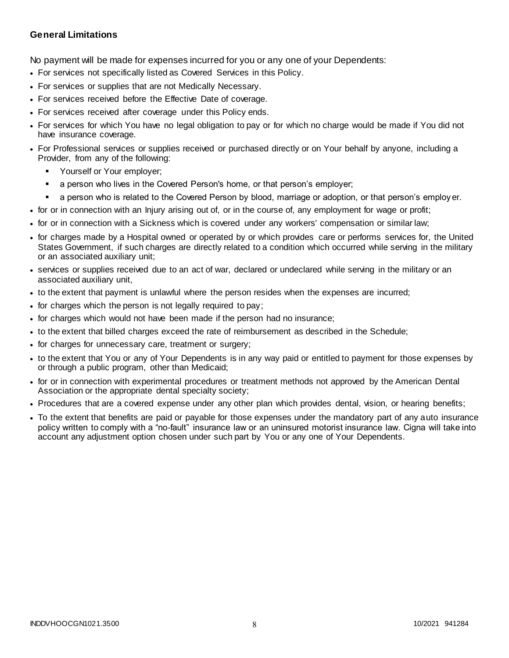## **General Limitations**

No payment will be made for expenses incurred for you or any one of your Dependents:

- For services not specifically listed as Covered Services in this Policy.
- For services or supplies that are not Medically Necessary.
- For services received before the Effective Date of coverage.
- For services received after coverage under this Policy ends.
- For services for which You have no legal obligation to pay or for which no charge would be made if You did not have insurance coverage.
- For Professional services or supplies received or purchased directly or on Your behalf by anyone, including a Provider, from any of the following:
	- Yourself or Your employer;
	- a person who lives in the Covered Person's home, or that person's employer;
	- a person who is related to the Covered Person by blood, marriage or adoption, or that person's employ er.
- for or in connection with an Injury arising out of, or in the course of, any employment for wage or profit;
- for or in connection with a Sickness which is covered under any workers' compensation or similar law;
- for charges made by a Hospital owned or operated by or which provides care or performs services for, the United States Government, if such charges are directly related to a condition which occurred while serving in the military or an associated auxiliary unit;
- services or supplies received due to an act of war, declared or undeclared while serving in the military or an associated auxiliary unit,
- to the extent that payment is unlawful where the person resides when the expenses are incurred;
- for charges which the person is not legally required to pay;
- for charges which would not have been made if the person had no insurance;
- to the extent that billed charges exceed the rate of reimbursement as described in the Schedule;
- for charges for unnecessary care, treatment or surgery;
- to the extent that You or any of Your Dependents is in any way paid or entitled to payment for those expenses by or through a public program, other than Medicaid;
- for or in connection with experimental procedures or treatment methods not approved by the American Dental Association or the appropriate dental specialty society;
- Procedures that are a covered expense under any other plan which provides dental, vision, or hearing benefits;
- To the extent that benefits are paid or payable for those expenses under the mandatory part of any auto insurance policy written to comply with a "no-fault" insurance law or an uninsured motorist insurance law. Cigna will take into account any adjustment option chosen under such part by You or any one of Your Dependents.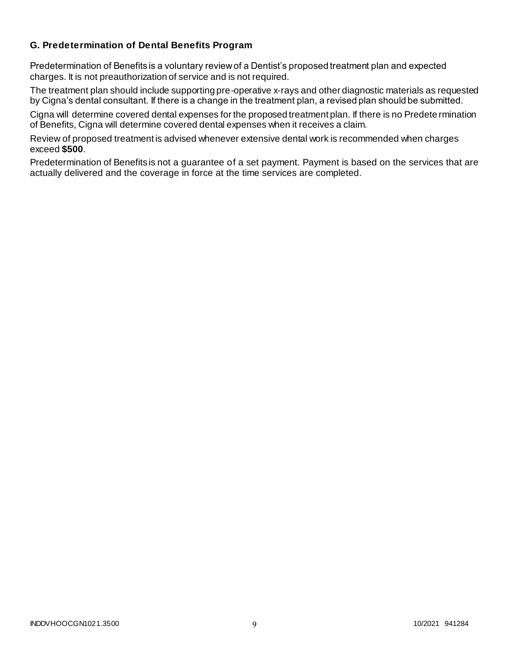## **G. Predetermination of Dental Benefits Program**

Predetermination of Benefits is a voluntary review of a Dentist's proposed treatment plan and expected charges. It is not preauthorization of service and is not required.

The treatment plan should include supporting pre-operative x-rays and other diagnostic materials as requested by Cigna's dental consultant. If there is a change in the treatment plan, a revised plan should be submitted.

Cigna will determine covered dental expenses for the proposed treatment plan. If there is no Predete rmination of Benefits, Cigna will determine covered dental expenses when it receives a claim.

Review of proposed treatment is advised whenever extensive dental work is recommended when charges exceed **\$500**.

Predetermination of Benefits is not a guarantee of a set payment. Payment is based on the services that are actually delivered and the coverage in force at the time services are completed.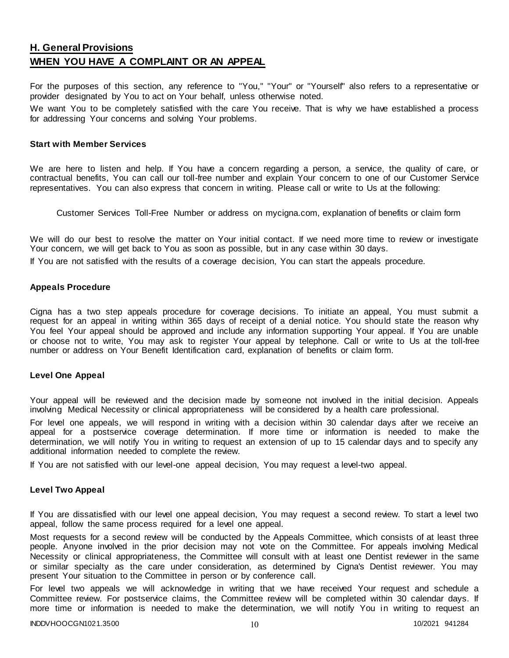# **H. General Provisions WHEN YOU HAVE A COMPLAINT OR AN APPEAL**

For the purposes of this section, any reference to "You," "Your" or "Yourself" also refers to a representative or provider designated by You to act on Your behalf, unless otherwise noted.

We want You to be completely satisfied with the care You receive. That is why we have established a process for addressing Your concerns and solving Your problems.

#### **Start with Member Services**

We are here to listen and help. If You have a concern regarding a person, a service, the quality of care, or contractual benefits, You can call our toll-free number and explain Your concern to one of our Customer Service representatives. You can also express that concern in writing. Please call or write to Us at the following:

Customer Services Toll-Free Number or address on mycigna.com, explanation of benefits or claim form

We will do our best to resolve the matter on Your initial contact. If we need more time to review or investigate Your concern, we will get back to You as soon as possible, but in any case within 30 days.

If You are not satisfied with the results of a coverage decision, You can start the appeals procedure.

#### **Appeals Procedure**

Cigna has a two step appeals procedure for coverage decisions. To initiate an appeal, You must submit a request for an appeal in writing within 365 days of receipt of a denial notice. You should state the reason why You feel Your appeal should be approved and include any information supporting Your appeal. If You are unable or choose not to write, You may ask to register Your appeal by telephone. Call or write to Us at the toll-free number or address on Your Benefit Identification card, explanation of benefits or claim form.

#### **Level One Appeal**

Your appeal will be reviewed and the decision made by someone not involved in the initial decision. Appeals involving Medical Necessity or clinical appropriateness will be considered by a health care professional.

For level one appeals, we will respond in writing with a decision within 30 calendar days after we receive an appeal for a postservice coverage determination. If more time or information is needed to make the determination, we will notify You in writing to request an extension of up to 15 calendar days and to specify any additional information needed to complete the review.

If You are not satisfied with our level-one appeal decision, You may request a level-two appeal.

#### **Level Two Appeal**

If You are dissatisfied with our level one appeal decision, You may request a second review. To start a level two appeal, follow the same process required for a level one appeal.

Most requests for a second review will be conducted by the Appeals Committee, which consists of at least three people. Anyone involved in the prior decision may not vote on the Committee. For appeals involving Medical Necessity or clinical appropriateness, the Committee will consult with at least one Dentist reviewer in the same or similar specialty as the care under consideration, as determined by Cigna's Dentist reviewer. You may present Your situation to the Committee in person or by conference call.

For level two appeals we will acknowledge in writing that we have received Your request and schedule a Committee review. For postservice claims, the Committee review will be completed within 30 calendar days. If more time or information is needed to make the determination, we will notify You in writing to request an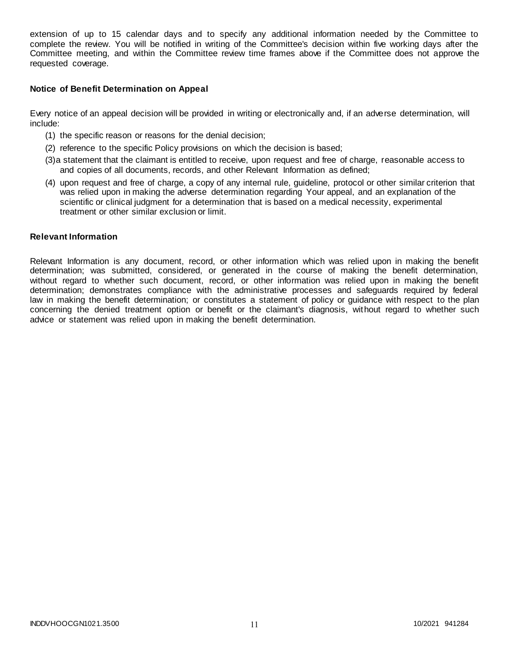extension of up to 15 calendar days and to specify any additional information needed by the Committee to complete the review. You will be notified in writing of the Committee's decision within five working days after the Committee meeting, and within the Committee review time frames above if the Committee does not approve the requested coverage.

#### **Notice of Benefit Determination on Appeal**

Every notice of an appeal decision will be provided in writing or electronically and, if an adverse determination, will include:

- (1) the specific reason or reasons for the denial decision;
- (2) reference to the specific Policy provisions on which the decision is based;
- (3)a statement that the claimant is entitled to receive, upon request and free of charge, reasonable access to and copies of all documents, records, and other Relevant Information as defined;
- (4) upon request and free of charge, a copy of any internal rule, guideline, protocol or other similar criterion that was relied upon in making the adverse determination regarding Your appeal, and an explanation of the scientific or clinical judgment for a determination that is based on a medical necessity, experimental treatment or other similar exclusion or limit.

#### **Relevant Information**

Relevant Information is any document, record, or other information which was relied upon in making the benefit determination; was submitted, considered, or generated in the course of making the benefit determination, without regard to whether such document, record, or other information was relied upon in making the benefit determination; demonstrates compliance with the administrative processes and safeguards required by federal law in making the benefit determination; or constitutes a statement of policy or guidance with respect to the plan concerning the denied treatment option or benefit or the claimant's diagnosis, without regard to whether such advice or statement was relied upon in making the benefit determination.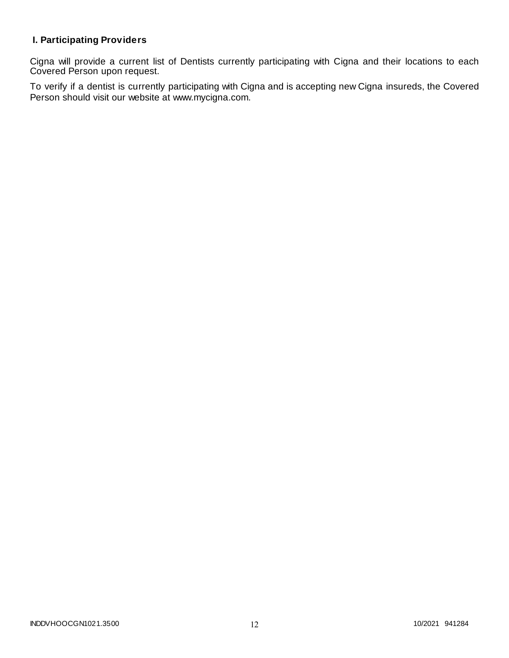# **I. Participating Providers**

Cigna will provide a current list of Dentists currently participating with Cigna and their locations to each Covered Person upon request.

To verify if a dentist is currently participating with Cigna and is accepting new Cigna insureds, the Covered Person should visit our website at www.mycigna.com.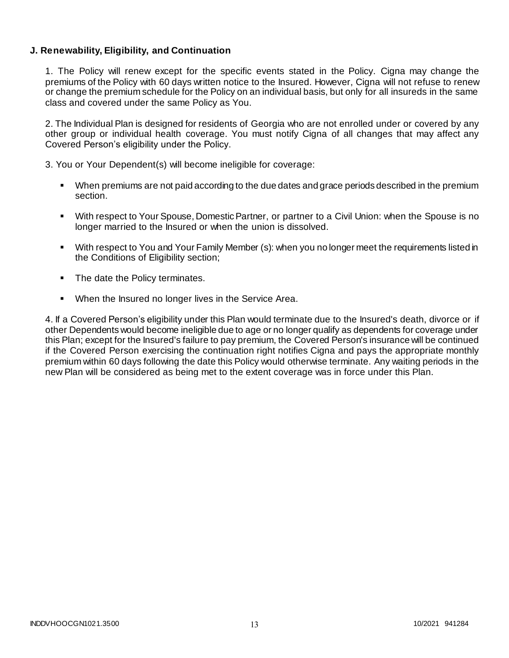## **J. Renewability, Eligibility, and Continuation**

1. The Policy will renew except for the specific events stated in the Policy. Cigna may change the premiums of the Policy with 60 days written notice to the Insured. However, Cigna will not refuse to renew or change the premium schedule for the Policy on an individual basis, but only for all insureds in the same class and covered under the same Policy as You.

2. The Individual Plan is designed for residents of Georgia who are not enrolled under or covered by any other group or individual health coverage. You must notify Cigna of all changes that may affect any Covered Person's eligibility under the Policy.

3. You or Your Dependent(s) will become ineligible for coverage:

- When premiums are not paid according to the due dates and grace periods described in the premium section.
- With respect to Your Spouse, Domestic Partner, or partner to a Civil Union: when the Spouse is no longer married to the Insured or when the union is dissolved.
- With respect to You and Your Family Member (s): when you no longer meet the requirements listed in the Conditions of Eligibility section;
- The date the Policy terminates.
- **When the Insured no longer lives in the Service Area.**

4. If a Covered Person's eligibility under this Plan would terminate due to the Insured's death, divorce or if other Dependents would become ineligible due to age or no longer qualify as dependents for coverage under this Plan; except for the Insured's failure to pay premium, the Covered Person's insurance will be continued if the Covered Person exercising the continuation right notifies Cigna and pays the appropriate monthly premium within 60 days following the date this Policy would otherwise terminate. Any waiting periods in the new Plan will be considered as being met to the extent coverage was in force under this Plan.